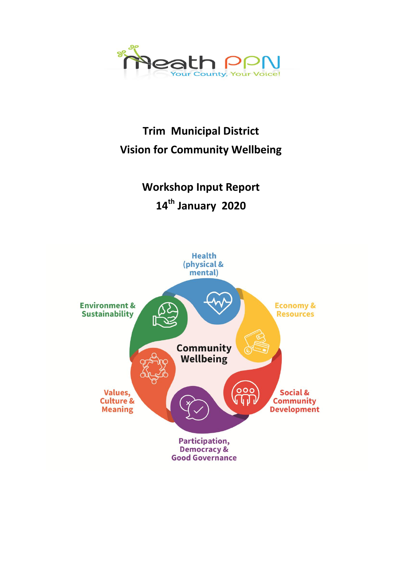

# **Trim Municipal District Vision for Community Wellbeing**

**Workshop Input Report 14th January 2020**

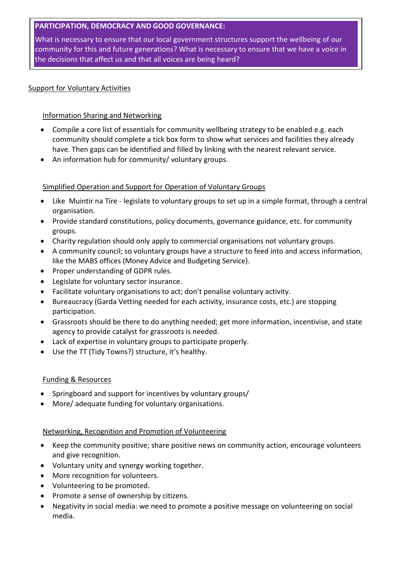# **PARTICIPATION, DEMOCRACY AND GOOD GOVERNANCE:**

What is necessary to ensure that our local government structures support the wellbeing of our community for this and future generations? What is necessary to ensure that we have a voice in the decisions that affect us and that all voices are being heard?

# Support for Voluntary Activities

# Information Sharing and Networking

- Compile a core list of essentials for community wellbeing strategy to be enabled e.g. each community should complete a tick box form to show what services and facilities they already have. Then gaps can be identified and filled by linking with the nearest relevant service.
- An information hub for community/ voluntary groups.

# Simplified Operation and Support for Operation of Voluntary Groups

- Like Muintir na Tíre legislate to voluntary groups to set up in a simple format, through a central organisation.
- Provide standard constitutions, policy documents, governance guidance, etc. for community groups.
- Charity regulation should only apply to commercial organisations not voluntary groups.
- A community council; so voluntary groups have a structure to feed into and access information, like the MABS offices (Money Advice and Budgeting Service).
- Proper understanding of GDPR rules.
- Legislate for voluntary sector insurance.
- Facilitate voluntary organisations to act; don't penalise voluntary activity.
- Bureaucracy (Garda Vetting needed for each activity, insurance costs, etc.) are stopping participation.
- Grassroots should be there to do anything needed; get more information, incentivise, and state agency to provide catalyst for grassroots is needed.
- Lack of expertise in voluntary groups to participate properly.
- Use the TT (Tidy Towns?) structure, it's healthy.

# Funding & Resources

- Springboard and support for incentives by voluntary groups/
- More/ adequate funding for voluntary organisations.

# Networking, Recognition and Promotion of Volunteering

- Keep the community positive; share positive news on community action, encourage volunteers and give recognition.
- Voluntary unity and synergy working together.
- More recognition for volunteers.
- Volunteering to be promoted.
- Promote a sense of ownership by citizens.
- Negativity in social media: we need to promote a positive message on volunteering on social media.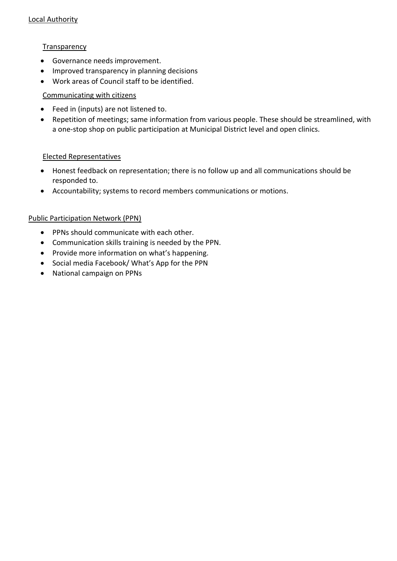# **Transparency**

- Governance needs improvement.
- Improved transparency in planning decisions
- Work areas of Council staff to be identified.

# Communicating with citizens

- Feed in (inputs) are not listened to.
- Repetition of meetings; same information from various people. These should be streamlined, with a one-stop shop on public participation at Municipal District level and open clinics.

# Elected Representatives

- Honest feedback on representation; there is no follow up and all communications should be responded to.
- Accountability; systems to record members communications or motions.

# Public Participation Network (PPN)

- PPNs should communicate with each other.
- Communication skills training is needed by the PPN.
- Provide more information on what's happening.
- Social media Facebook/ What's App for the PPN
- National campaign on PPNs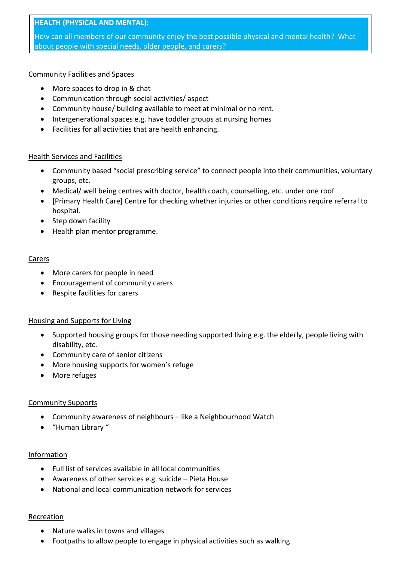# **HEALTH (PHYSICAL AND MENTAL):**

How can all members of our community enjoy the best possible physical and mental health? What about people with special needs, older people, and carers?

## Community Facilities and Spaces

- More spaces to drop in & chat
- Communication through social activities/ aspect
- Community house/ building available to meet at minimal or no rent.
- Intergenerational spaces e.g. have toddler groups at nursing homes
- Facilities for all activities that are health enhancing.

## Health Services and Facilities

- Community based "social prescribing service" to connect people into their communities, voluntary groups, etc.
- Medical/ well being centres with doctor, health coach, counselling, etc. under one roof
- [Primary Health Care] Centre for checking whether injuries or other conditions require referral to hospital.
- Step down facility
- Health plan mentor programme.

## Carers

- More carers for people in need
- Encouragement of community carers
- Respite facilities for carers

## Housing and Supports for Living

- Supported housing groups for those needing supported living e.g. the elderly, people living with disability, etc.
- Community care of senior citizens
- More housing supports for women's refuge
- More refuges

# Community Supports

- Community awareness of neighbours like a Neighbourhood Watch
- "Human Library "

## Information

- Full list of services available in all local communities
- Awareness of other services e.g. suicide Pieta House
- National and local communication network for services

## Recreation

- Nature walks in towns and villages
- Footpaths to allow people to engage in physical activities such as walking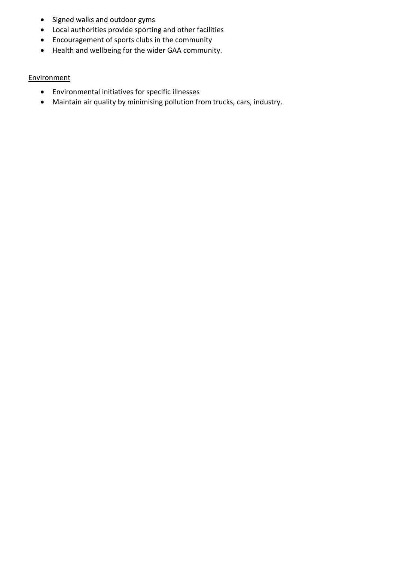- Signed walks and outdoor gyms
- Local authorities provide sporting and other facilities
- Encouragement of sports clubs in the community
- Health and wellbeing for the wider GAA community.

## **Environment**

- Environmental initiatives for specific illnesses
- Maintain air quality by minimising pollution from trucks, cars, industry.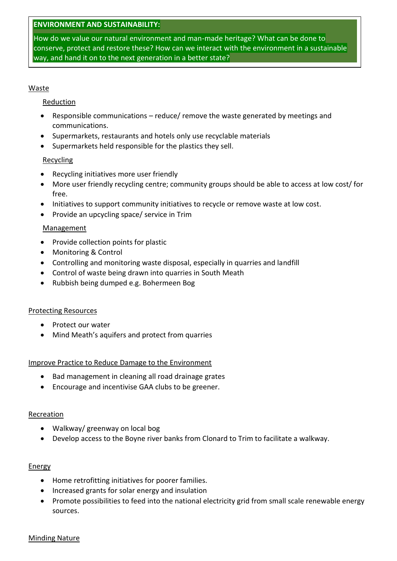## **ENVIRONMENT AND SUSTAINABILITY:**

How do we value our natural environment and man-made heritage? What can be done to conserve, protect and restore these? How can we interact with the environment in a sustainable way, and hand it on to the next generation in a better state?

#### Waste

## Reduction

- Responsible communications reduce/ remove the waste generated by meetings and communications.
- Supermarkets, restaurants and hotels only use recyclable materials
- Supermarkets held responsible for the plastics they sell.

## Recycling

- Recycling initiatives more user friendly
- More user friendly recycling centre; community groups should be able to access at low cost/ for free.
- Initiatives to support community initiatives to recycle or remove waste at low cost.
- Provide an upcycling space/ service in Trim

## Management

- Provide collection points for plastic
- Monitoring & Control
- Controlling and monitoring waste disposal, especially in quarries and landfill
- Control of waste being drawn into quarries in South Meath
- Rubbish being dumped e.g. Bohermeen Bog

## Protecting Resources

- Protect our water
- Mind Meath's aquifers and protect from quarries

## Improve Practice to Reduce Damage to the Environment

- Bad management in cleaning all road drainage grates
- Encourage and incentivise GAA clubs to be greener.

## Recreation

- Walkway/ greenway on local bog
- Develop access to the Boyne river banks from Clonard to Trim to facilitate a walkway.

## **Energy**

- Home retrofitting initiatives for poorer families.
- Increased grants for solar energy and insulation
- Promote possibilities to feed into the national electricity grid from small scale renewable energy sources.

## Minding Nature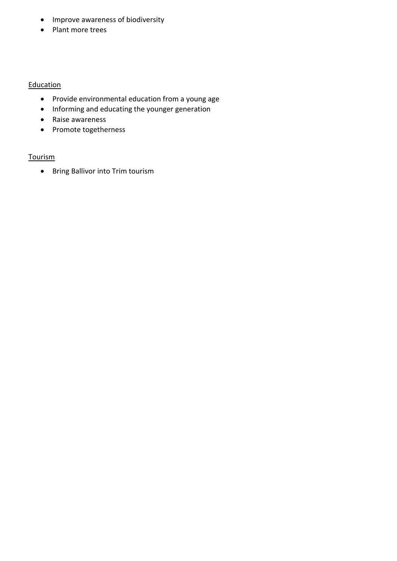- Improve awareness of biodiversity
- Plant more trees

## **Education**

- Provide environmental education from a young age
- Informing and educating the younger generation
- Raise awareness
- Promote togetherness

# **Tourism**

• Bring Ballivor into Trim tourism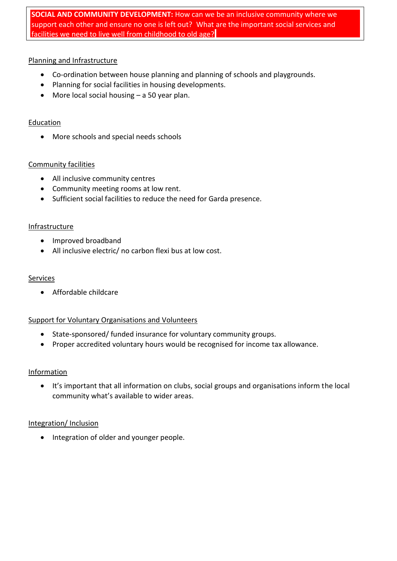# **SOCIAL AND COMMUNITY DEVELOPMENT:** How can we be an inclusive community where we support each other and ensure no one is left out? What are the important social services and facilities we need to live well from childhood to old age?

# Planning and Infrastructure

- Co-ordination between house planning and planning of schools and playgrounds.
- Planning for social facilities in housing developments.
- More local social housing a 50 year plan.

# **Education**

More schools and special needs schools

# Community facilities

- All inclusive community centres
- Community meeting rooms at low rent.
- Sufficient social facilities to reduce the need for Garda presence.

# **Infrastructure**

- Improved broadband
- All inclusive electric/ no carbon flexi bus at low cost.

# Services

Affordable childcare

# Support for Voluntary Organisations and Volunteers

- State-sponsored/ funded insurance for voluntary community groups.
- Proper accredited voluntary hours would be recognised for income tax allowance.

# Information

 It's important that all information on clubs, social groups and organisations inform the local community what's available to wider areas.

# Integration/ Inclusion

• Integration of older and younger people.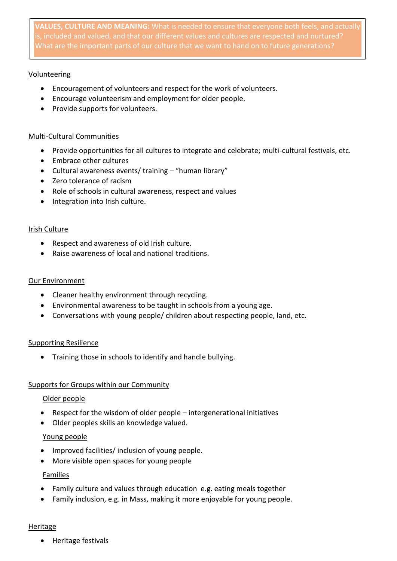**VALUES, CULTURE AND MEANING:** What is needed to ensure that everyone both feels, and actually is, included and valued, and that our different values and cultures are respected and nurtured?

## **Volunteering**

- Encouragement of volunteers and respect for the work of volunteers.
- Encourage volunteerism and employment for older people.
- Provide supports for volunteers.

## Multi-Cultural Communities

- Provide opportunities for all cultures to integrate and celebrate; multi-cultural festivals, etc.
- Embrace other cultures
- Cultural awareness events/ training "human library"
- Zero tolerance of racism
- Role of schools in cultural awareness, respect and values
- Integration into Irish culture.

## Irish Culture

- Respect and awareness of old Irish culture.
- Raise awareness of local and national traditions.

## Our Environment

- Cleaner healthy environment through recycling.
- Environmental awareness to be taught in schools from a young age.
- Conversations with young people/ children about respecting people, land, etc.

# Supporting Resilience

Training those in schools to identify and handle bullying.

# Supports for Groups within our Community

## Older people

- Respect for the wisdom of older people intergenerational initiatives
- Older peoples skills an knowledge valued.

# Young people

- Improved facilities/ inclusion of young people.
- More visible open spaces for young people

# Families

- Family culture and values through education e.g. eating meals together
- Family inclusion, e.g. in Mass, making it more enjoyable for young people.

## Heritage

Heritage festivals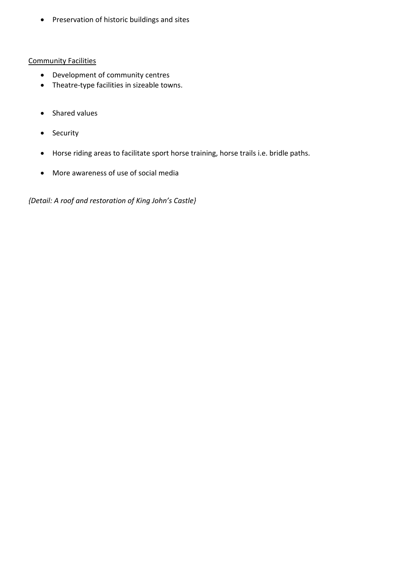Preservation of historic buildings and sites

# Community Facilities

- Development of community centres
- Theatre-type facilities in sizeable towns.
- Shared values
- Security
- Horse riding areas to facilitate sport horse training, horse trails i.e. bridle paths.
- More awareness of use of social media

*{Detail: A roof and restoration of King John's Castle}*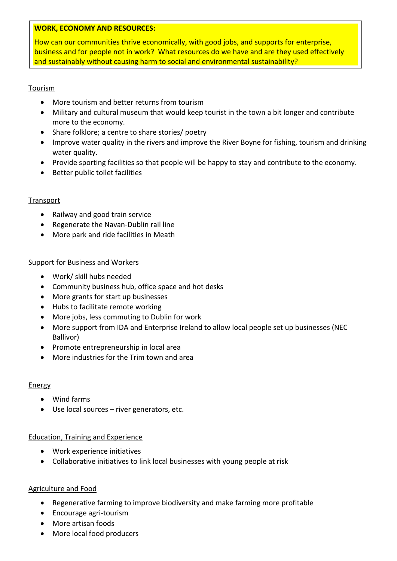## **WORK, ECONOMY AND RESOURCES:**

How can our communities thrive economically, with good jobs, and supports for enterprise, business and for people not in work? What resources do we have and are they used effectively and sustainably without causing harm to social and environmental sustainability?

## Tourism

- More tourism and better returns from tourism
- Military and cultural museum that would keep tourist in the town a bit longer and contribute more to the economy.
- Share folklore; a centre to share stories/ poetry
- Improve water quality in the rivers and improve the River Boyne for fishing, tourism and drinking water quality.
- Provide sporting facilities so that people will be happy to stay and contribute to the economy.
- Better public toilet facilities

## **Transport**

- Railway and good train service
- Regenerate the Navan-Dublin rail line
- More park and ride facilities in Meath

# Support for Business and Workers

- Work/ skill hubs needed
- Community business hub, office space and hot desks
- More grants for start up businesses
- Hubs to facilitate remote working
- More jobs, less commuting to Dublin for work
- More support from IDA and Enterprise Ireland to allow local people set up businesses (NEC Ballivor)
- Promote entrepreneurship in local area
- More industries for the Trim town and area

## Energy

- Wind farms
- Use local sources river generators, etc.

## Education, Training and Experience

- Work experience initiatives
- Collaborative initiatives to link local businesses with young people at risk

# Agriculture and Food

- Regenerative farming to improve biodiversity and make farming more profitable
- Encourage agri-tourism
- More artisan foods
- More local food producers